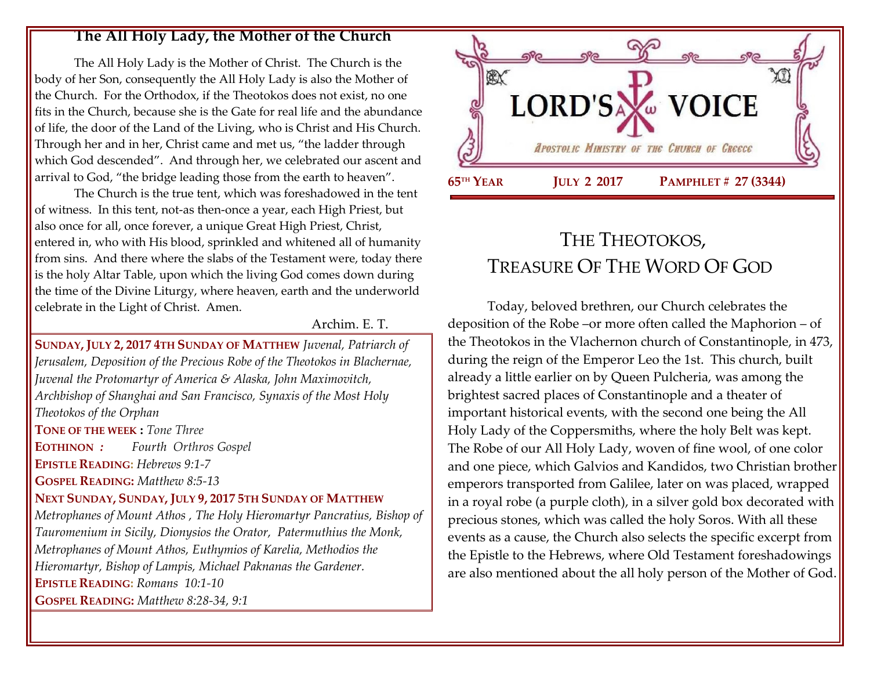#### **The All Holy Lady, the Mother of the Church**

The All Holy Lady is the Mother of Christ. The Church is the body of her Son, consequently the All Holy Lady is also the Mother of the Church. For the Orthodox, if the Theotokos does not exist, no one fits in the Church, because she is the Gate for real life and the abundance of life, the door of the Land of the Living, who is Christ and His Church. Through her and in her, Christ came and met us, "the ladder through which God descended". And through her, we celebrated our ascent and arrival to God, "the bridge leading those from the earth to heaven".

The Church is the true tent, which was foreshadowed in the tent of witness. In this tent, not-as then-once a year, each High Priest, but also once for all, once forever, a unique Great High Priest, Christ, entered in, who with His blood, sprinkled and whitened all of humanity from sins. And there where the slabs of the Testament were, today there is the holy Altar Table, upon which the living God comes down during the time of the Divine Liturgy, where heaven, earth and the underworld celebrate in the Light of Christ. Amen.

#### Archim. E. T.

**SUNDAY, JULY 2, 2017 4TH SUNDAY OF MATTHEW** *Juvenal, Patriarch of Jerusalem, Deposition of the Precious Robe of the Theotokos in Blachernae, Juvenal the Protomartyr of America & Alaska, John Maximovitch, Archbishop of Shanghai and San Francisco, Synaxis of the Most Holy Theotokos of the Orphan* **TONE OF THE WEEK :** *Tone Three* **EOTHINON** *: Fourth Orthros Gospel* **EPISTLE READING:** *[Hebrews 9:1-7](https://www.goarch.org/chapel/lectionary?type=epistle&code=27&event=940&date=5/28/2017)*  **GOSPEL READING:** *[Matthew 8:5-13](https://www.goarch.org/chapel/lectionary?type=gospel&code=43&event=940&date=5/28/2017)* **NEXT SUNDAY, SUNDAY, JULY 9, 2017 5TH SUNDAY OF MATTHEW** *Metrophanes of Mount Athos , The Holy Hieromartyr Pancratius, Bishop of Tauromenium in Sicily, Dionysios the Orator, Patermuthius the Monk, Metrophanes of Mount Athos, Euthymios of Karelia, Methodios the Hieromartyr, Bishop of Lampis, Michael Paknanas the Gardener.* **EPISTLE READING:** *[Romans 10:1-10](https://www.goarch.org/chapel/lectionary?type=epistle&code=27&event=940&date=5/28/2017)*  **GOSPEL READING:** *[Matthew 8:28-34, 9:1](https://www.goarch.org/chapel/lectionary?type=gospel&code=43&event=940&date=5/28/2017)*



# THE THEOTOKOS, TREASURE OF THE WORD OF GOD

Today, beloved brethren, our Church celebrates the deposition of the Robe –or more often called the Maphorion – of the Theotokos in the Vlachernon church of Constantinople, in 473, during the reign of the Emperor Leo the 1st. This church, built already a little earlier on by Queen Pulcheria, was among the brightest sacred places of Constantinople and a theater of important historical events, with the second one being the All Holy Lady of the Coppersmiths, where the holy Belt was kept. The Robe of our All Holy Lady, woven of fine wool, of one color and one piece, which Galvios and Kandidos, two Christian brother emperors transported from Galilee, later on was placed, wrapped in a royal robe (a purple cloth), in a silver gold box decorated with precious stones, which was called the holy Soros. With all these events as a cause, the Church also selects the specific excerpt from the Epistle to the Hebrews, where Old Testament foreshadowings are also mentioned about the all holy person of the Mother of God.